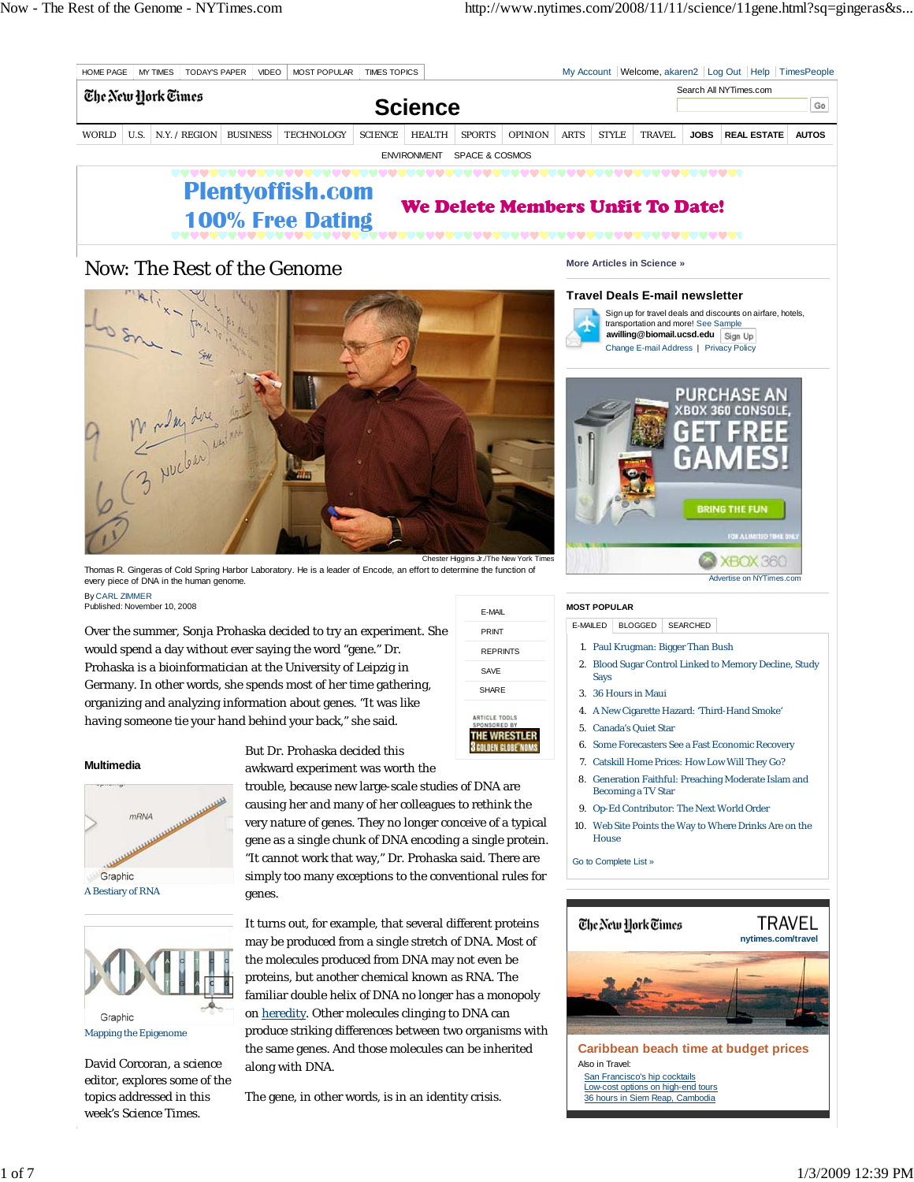



Thomas R. Gingeras of Cold Spring Harbor Laboratory. He is a leader of Encode, an effort to determine the function of every piece of DNA in the human genome. By CARL ZIMMER

Published: November 10, 2008

Over the summer, Sonja Prohaska decided to try an experiment. She would spend a day without ever saying the word "gene." Dr. Prohaska is a bioinformatician at the University of Leipzig in Germany. In other words, she spends most of her time gathering, organizing and analyzing information about genes. "It was like having someone tie your hand behind your back," she said.

## **Multimedia**



A Bestiary of RNA



Mapping the Epigenome

David Corcoran, a science editor, explores some of the topics addressed in this week's Science Times.

But Dr. Prohaska decided this awkward experiment was worth the

trouble, because new large-scale studies of DNA are causing her and many of her colleagues to rethink the very nature of genes. They no longer conceive of a typical gene as a single chunk of DNA encoding a single protein. "It cannot work that way," Dr. Prohaska said. There are simply too many exceptions to the conventional rules for genes.

It turns out, for example, that several different proteins may be produced from a single stretch of DNA. Most of the molecules produced from DNA may not even be proteins, but another chemical known as RNA. The familiar double helix of DNA no longer has a monopoly on heredity. Other molecules clinging to DNA can produce striking differences between two organisms with the same genes. And those molecules can be inherited along with DNA.

The gene, in other words, is in an identity crisis.



#### **MOST POPULAR**

E-MAIL PRINT REPRINTS SAVE SHARE

RTICLE TOOLS **THE WRESTLER**  E-MAILED BLOGGED SEARCHED

- 1. Paul Krugman: Bigger Than Bush
- 2. Blood Sugar Control Linked to Memory Decline, Study Says

Advertise on NYTin

- 3. 36 Hours in Maui
- 4. A New Cigarette Hazard: 'Third-Hand Smoke'
- 5. Canada's Quiet Star
- 6. Some Forecasters See a Fast Economic Recovery
- 7. Catskill Home Prices: How Low Will They Go?
- 8. Generation Faithful: Preaching Moderate Islam and Becoming a TV Star
- 9. Op-Ed Contributor: The Next World Order
- Web Site Points the Way to Where Drinks Are on the House 10.

Go to Complete List »



San Francisco's hip cocktails Low-cost options on high-end tours 36 hours in Siem Reap, Cambodia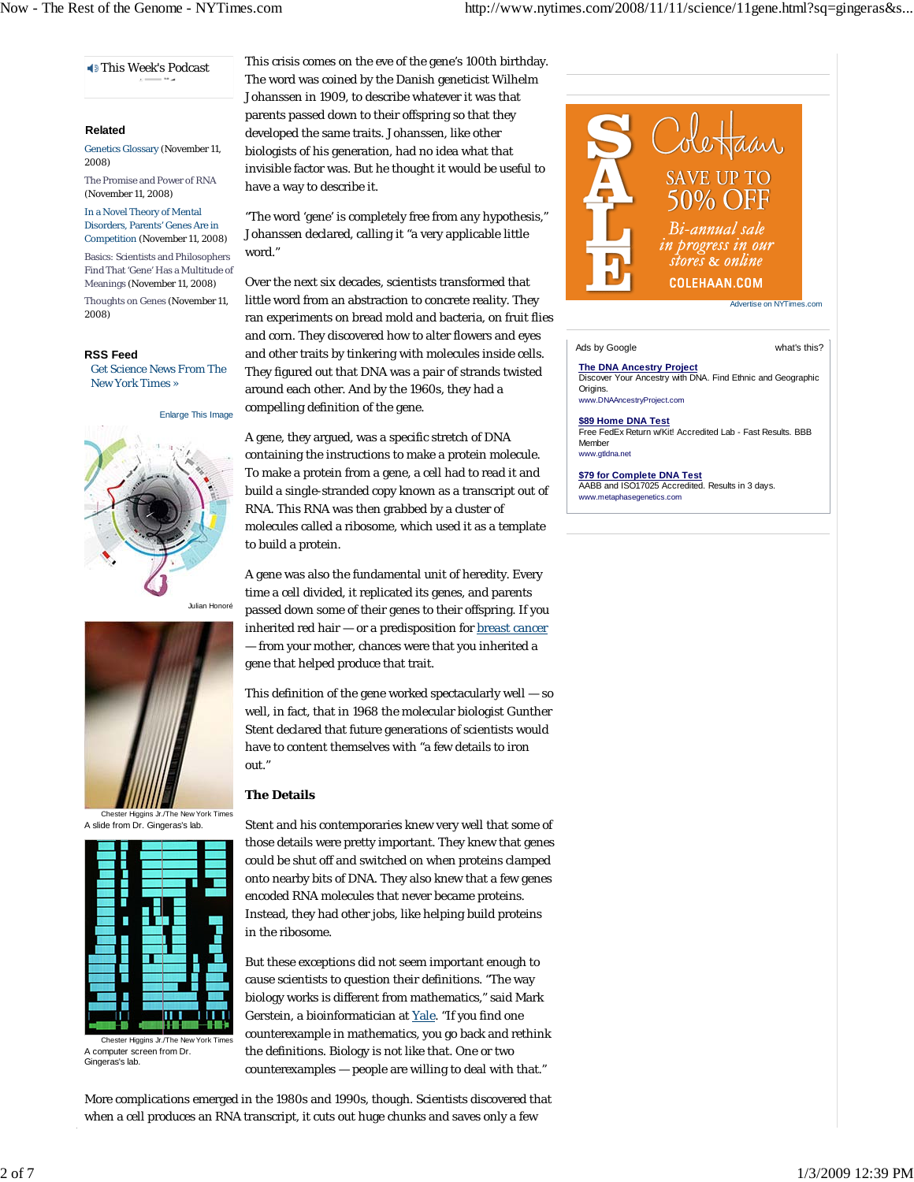This Week's Podcast

#### **Related**

Genetics Glossary (November 11, 2008)

The Promise and Power of RNA (November 11, 2008)

In a Novel Theory of Mental Disorders, Parents' Genes Are in Competition (November 11, 2008)

Basics: Scientists and Philosophers Find That 'Gene' Has a Multitude of Meanings (November 11, 2008) Thoughts on Genes (November 11, 2008)

**RSS Feed** Get Science News From The

New York Times »





Chester Higgins Jr./The New York Times A slide from Dr. Gingeras's lab.



A computer screen from Dr. Gingeras's lab.

This crisis comes on the eve of the gene's 100th birthday. The word was coined by the Danish geneticist Wilhelm Johanssen in 1909, to describe whatever it was that parents passed down to their offspring so that they developed the same traits. Johanssen, like other biologists of his generation, had no idea what that invisible factor was. But he thought it would be useful to have a way to describe it.

"The word 'gene' is completely free from any hypothesis," Johanssen declared, calling it "a very applicable little word."

Over the next six decades, scientists transformed that little word from an abstraction to concrete reality. They ran experiments on bread mold and bacteria, on fruit flies and corn. They discovered how to alter flowers and eyes and other traits by tinkering with molecules inside cells. They figured out that DNA was a pair of strands twisted around each other. And by the 1960s, they had a compelling definition of the gene.

A gene, they argued, was a specific stretch of DNA containing the instructions to make a protein molecule. To make a protein from a gene, a cell had to read it and build a single-stranded copy known as a transcript out of RNA. This RNA was then grabbed by a cluster of molecules called a ribosome, which used it as a template to build a protein.

A gene was also the fundamental unit of heredity. Every time a cell divided, it replicated its genes, and parents passed down some of their genes to their offspring. If you inherited red hair — or a predisposition for breast cancer — from your mother, chances were that you inherited a gene that helped produce that trait.

This definition of the gene worked spectacularly well — so well, in fact, that in 1968 the molecular biologist Gunther Stent declared that future generations of scientists would have to content themselves with "a few details to iron out."

#### **The Details**

Stent and his contemporaries knew very well that some of those details were pretty important. They knew that genes could be shut off and switched on when proteins clamped onto nearby bits of DNA. They also knew that a few genes encoded RNA molecules that never became proteins. Instead, they had other jobs, like helping build proteins in the ribosome.

But these exceptions did not seem important enough to cause scientists to question their definitions. "The way biology works is different from mathematics," said Mark Gerstein, a bioinformatician at Yale. "If you find one counterexample in mathematics, you go back and rethink the definitions. Biology is not like that. One or two counterexamples — people are willing to deal with that."

More complications emerged in the 1980s and 1990s, though. Scientists discovered that when a cell produces an RNA transcript, it cuts out huge chunks and saves only a few



#### Ads by Google **by Coogle Ads** by Google **what's this?**

**The DNA Ancestry Project** Your Ancestry with DNA. Find Ethnic and Geographic Origins.

www.DNAAncestryProject.com

**\$89 Home DNA Test** Free FedEx Return w/Kit! Accredited Lab - Fast Results. BBB Member www.gtldna.net

**\$79 for Complete DNA Test** AABB and ISO17025 Accredited. Results in 3 days. www.metaphasegenetics.com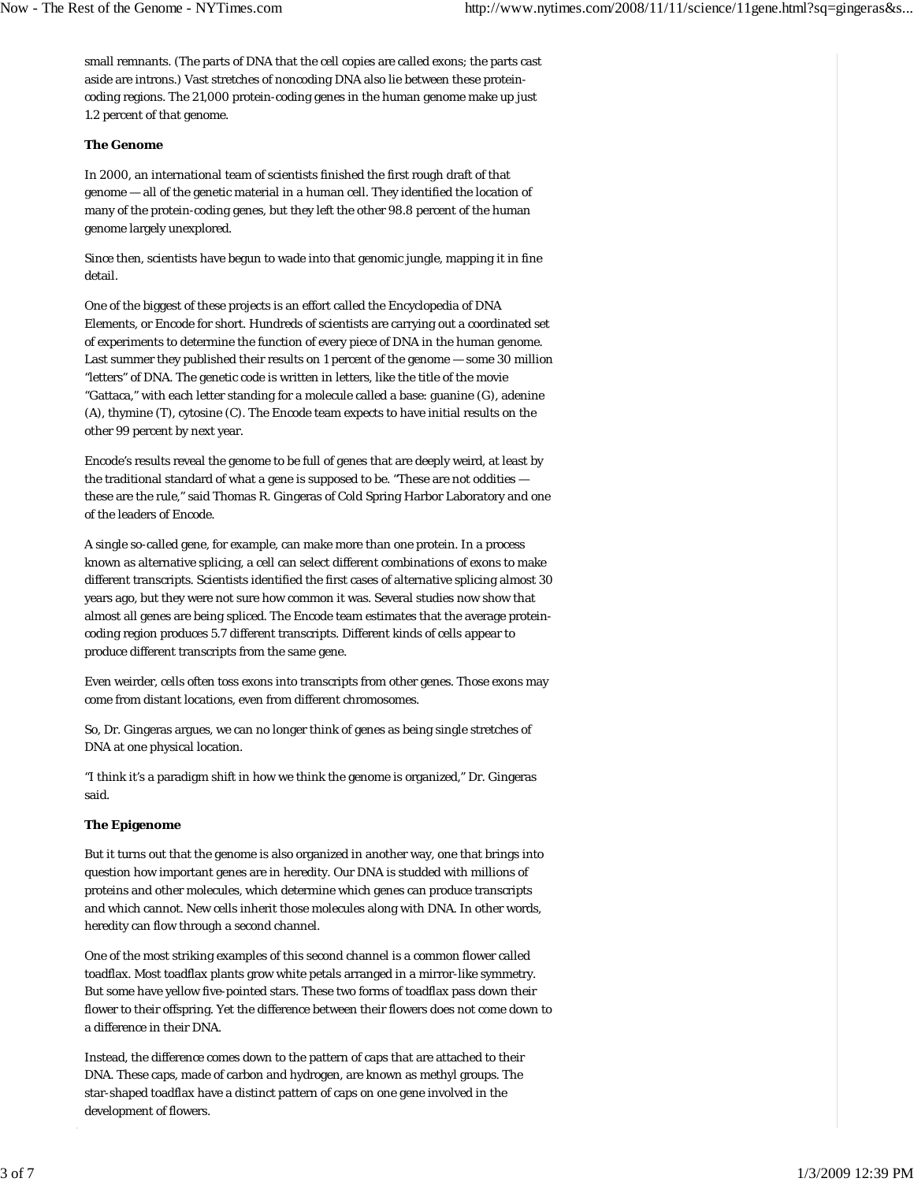small remnants. (The parts of DNA that the cell copies are called exons; the parts cast aside are introns.) Vast stretches of noncoding DNA also lie between these proteincoding regions. The 21,000 protein-coding genes in the human genome make up just 1.2 percent of that genome.

# **The Genome**

In 2000, an international team of scientists finished the first rough draft of that genome — all of the genetic material in a human cell. They identified the location of many of the protein-coding genes, but they left the other 98.8 percent of the human genome largely unexplored.

Since then, scientists have begun to wade into that genomic jungle, mapping it in fine detail.

One of the biggest of these projects is an effort called the Encyclopedia of DNA Elements, or Encode for short. Hundreds of scientists are carrying out a coordinated set of experiments to determine the function of every piece of DNA in the human genome. Last summer they published their results on 1 percent of the genome — some 30 million "letters" of DNA. The genetic code is written in letters, like the title of the movie "Gattaca," with each letter standing for a molecule called a base: guanine (G), adenine (A), thymine (T), cytosine (C). The Encode team expects to have initial results on the other 99 percent by next year.

Encode's results reveal the genome to be full of genes that are deeply weird, at least by the traditional standard of what a gene is supposed to be. "These are not oddities these are the rule," said Thomas R. Gingeras of Cold Spring Harbor Laboratory and one of the leaders of Encode.

A single so-called gene, for example, can make more than one protein. In a process known as alternative splicing, a cell can select different combinations of exons to make different transcripts. Scientists identified the first cases of alternative splicing almost 30 years ago, but they were not sure how common it was. Several studies now show that almost all genes are being spliced. The Encode team estimates that the average proteincoding region produces 5.7 different transcripts. Different kinds of cells appear to produce different transcripts from the same gene.

Even weirder, cells often toss exons into transcripts from other genes. Those exons may come from distant locations, even from different chromosomes.

So, Dr. Gingeras argues, we can no longer think of genes as being single stretches of DNA at one physical location.

"I think it's a paradigm shift in how we think the genome is organized," Dr. Gingeras said.

# **The Epigenome**

But it turns out that the genome is also organized in another way, one that brings into question how important genes are in heredity. Our DNA is studded with millions of proteins and other molecules, which determine which genes can produce transcripts and which cannot. New cells inherit those molecules along with DNA. In other words, heredity can flow through a second channel.

One of the most striking examples of this second channel is a common flower called toadflax. Most toadflax plants grow white petals arranged in a mirror-like symmetry. But some have yellow five-pointed stars. These two forms of toadflax pass down their flower to their offspring. Yet the difference between their flowers does not come down to a difference in their DNA.

Instead, the difference comes down to the pattern of caps that are attached to their DNA. These caps, made of carbon and hydrogen, are known as methyl groups. The star-shaped toadflax have a distinct pattern of caps on one gene involved in the development of flowers.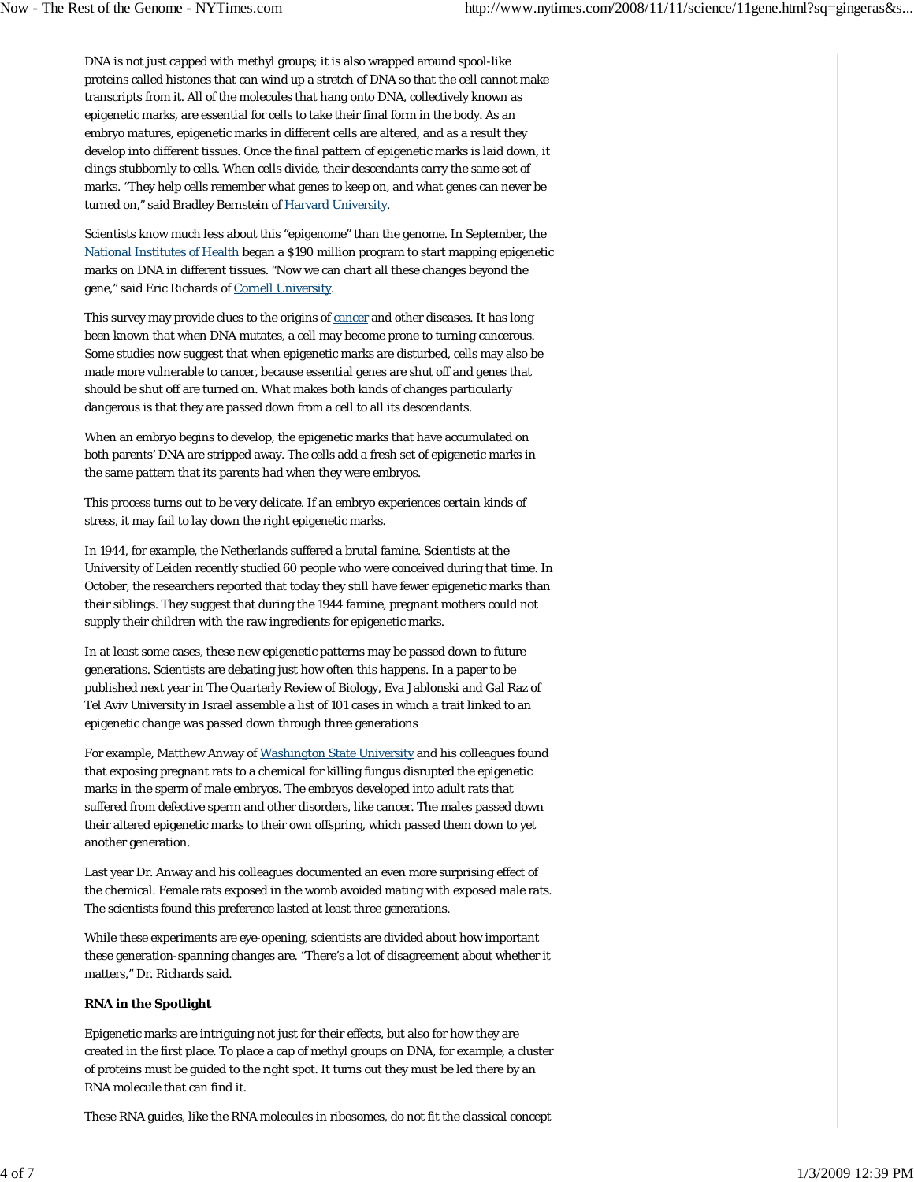DNA is not just capped with methyl groups; it is also wrapped around spool-like proteins called histones that can wind up a stretch of DNA so that the cell cannot make transcripts from it. All of the molecules that hang onto DNA, collectively known as epigenetic marks, are essential for cells to take their final form in the body. As an embryo matures, epigenetic marks in different cells are altered, and as a result they develop into different tissues. Once the final pattern of epigenetic marks is laid down, it clings stubbornly to cells. When cells divide, their descendants carry the same set of marks. "They help cells remember what genes to keep on, and what genes can never be turned on," said Bradley Bernstein of Harvard University.

Scientists know much less about this "epigenome" than the genome. In September, the National Institutes of Health began a \$190 million program to start mapping epigenetic marks on DNA in different tissues. "Now we can chart all these changes beyond the gene," said Eric Richards of Cornell University.

This survey may provide clues to the origins of cancer and other diseases. It has long been known that when DNA mutates, a cell may become prone to turning cancerous. Some studies now suggest that when epigenetic marks are disturbed, cells may also be made more vulnerable to cancer, because essential genes are shut off and genes that should be shut off are turned on. What makes both kinds of changes particularly dangerous is that they are passed down from a cell to all its descendants.

When an embryo begins to develop, the epigenetic marks that have accumulated on both parents' DNA are stripped away. The cells add a fresh set of epigenetic marks in the same pattern that its parents had when they were embryos.

This process turns out to be very delicate. If an embryo experiences certain kinds of stress, it may fail to lay down the right epigenetic marks.

In 1944, for example, the Netherlands suffered a brutal famine. Scientists at the University of Leiden recently studied 60 people who were conceived during that time. In October, the researchers reported that today they still have fewer epigenetic marks than their siblings. They suggest that during the 1944 famine, pregnant mothers could not supply their children with the raw ingredients for epigenetic marks.

In at least some cases, these new epigenetic patterns may be passed down to future generations. Scientists are debating just how often this happens. In a paper to be published next year in The Quarterly Review of Biology, Eva Jablonski and Gal Raz of Tel Aviv University in Israel assemble a list of 101 cases in which a trait linked to an epigenetic change was passed down through three generations

For example, Matthew Anway of Washington State University and his colleagues found that exposing pregnant rats to a chemical for killing fungus disrupted the epigenetic marks in the sperm of male embryos. The embryos developed into adult rats that suffered from defective sperm and other disorders, like cancer. The males passed down their altered epigenetic marks to their own offspring, which passed them down to yet another generation.

Last year Dr. Anway and his colleagues documented an even more surprising effect of the chemical. Female rats exposed in the womb avoided mating with exposed male rats. The scientists found this preference lasted at least three generations.

While these experiments are eye-opening, scientists are divided about how important these generation-spanning changes are. "There's a lot of disagreement about whether it matters," Dr. Richards said.

# **RNA in the Spotlight**

Epigenetic marks are intriguing not just for their effects, but also for how they are created in the first place. To place a cap of methyl groups on DNA, for example, a cluster of proteins must be guided to the right spot. It turns out they must be led there by an RNA molecule that can find it.

These RNA guides, like the RNA molecules in ribosomes, do not fit the classical concept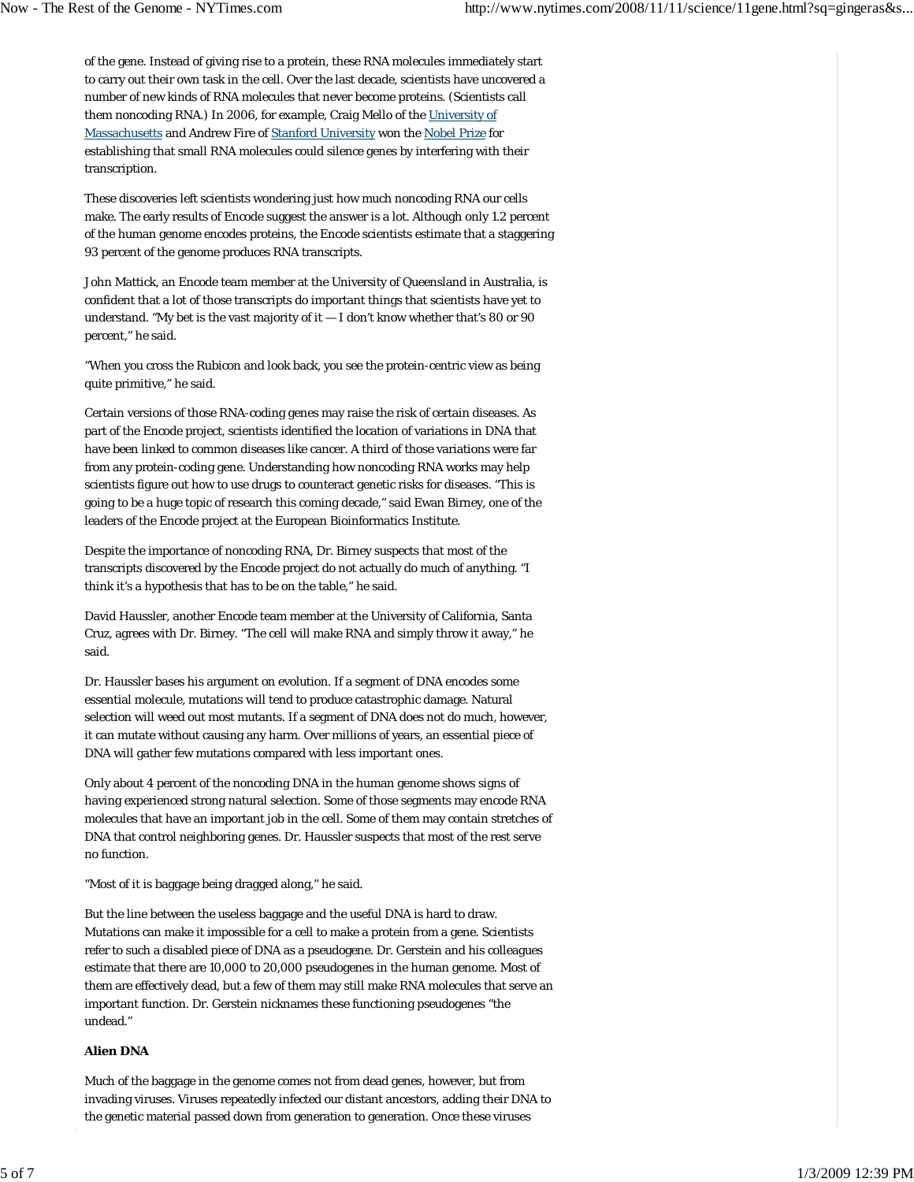of the gene. Instead of giving rise to a protein, these RNA molecules immediately start to carry out their own task in the cell. Over the last decade, scientists have uncovered a number of new kinds of RNA molecules that never become proteins. (Scientists call them noncoding RNA.) In 2006, for example, Craig Mello of the University of Massachusetts and Andrew Fire of Stanford University won the Nobel Prize for establishing that small RNA molecules could silence genes by interfering with their transcription.

These discoveries left scientists wondering just how much noncoding RNA our cells make. The early results of Encode suggest the answer is a lot. Although only 1.2 percent of the human genome encodes proteins, the Encode scientists estimate that a staggering 93 percent of the genome produces RNA transcripts.

John Mattick, an Encode team member at the University of Queensland in Australia, is confident that a lot of those transcripts do important things that scientists have yet to understand. "My bet is the vast majority of it  $-$  I don't know whether that's 80 or 90 percent," he said.

"When you cross the Rubicon and look back, you see the protein-centric view as being quite primitive," he said.

Certain versions of those RNA-coding genes may raise the risk of certain diseases. As part of the Encode project, scientists identified the location of variations in DNA that have been linked to common diseases like cancer. A third of those variations were far from any protein-coding gene. Understanding how noncoding RNA works may help scientists figure out how to use drugs to counteract genetic risks for diseases. "This is going to be a huge topic of research this coming decade," said Ewan Birney, one of the leaders of the Encode project at the European Bioinformatics Institute.

Despite the importance of noncoding RNA, Dr. Birney suspects that most of the transcripts discovered by the Encode project do not actually do much of anything. "I think it's a hypothesis that has to be on the table," he said.

David Haussler, another Encode team member at the University of California, Santa Cruz, agrees with Dr. Birney. "The cell will make RNA and simply throw it away," he said.

Dr. Haussler bases his argument on evolution. If a segment of DNA encodes some essential molecule, mutations will tend to produce catastrophic damage. Natural selection will weed out most mutants. If a segment of DNA does not do much, however, it can mutate without causing any harm. Over millions of years, an essential piece of DNA will gather few mutations compared with less important ones.

Only about 4 percent of the noncoding DNA in the human genome shows signs of having experienced strong natural selection. Some of those segments may encode RNA molecules that have an important job in the cell. Some of them may contain stretches of DNA that control neighboring genes. Dr. Haussler suspects that most of the rest serve no function.

"Most of it is baggage being dragged along," he said.

But the line between the useless baggage and the useful DNA is hard to draw. Mutations can make it impossible for a cell to make a protein from a gene. Scientists refer to such a disabled piece of DNA as a pseudogene. Dr. Gerstein and his colleagues estimate that there are 10,000 to 20,000 pseudogenes in the human genome. Most of them are effectively dead, but a few of them may still make RNA molecules that serve an important function. Dr. Gerstein nicknames these functioning pseudogenes "the undead."

# **Alien DNA**

Much of the baggage in the genome comes not from dead genes, however, but from invading viruses. Viruses repeatedly infected our distant ancestors, adding their DNA to the genetic material passed down from generation to generation. Once these viruses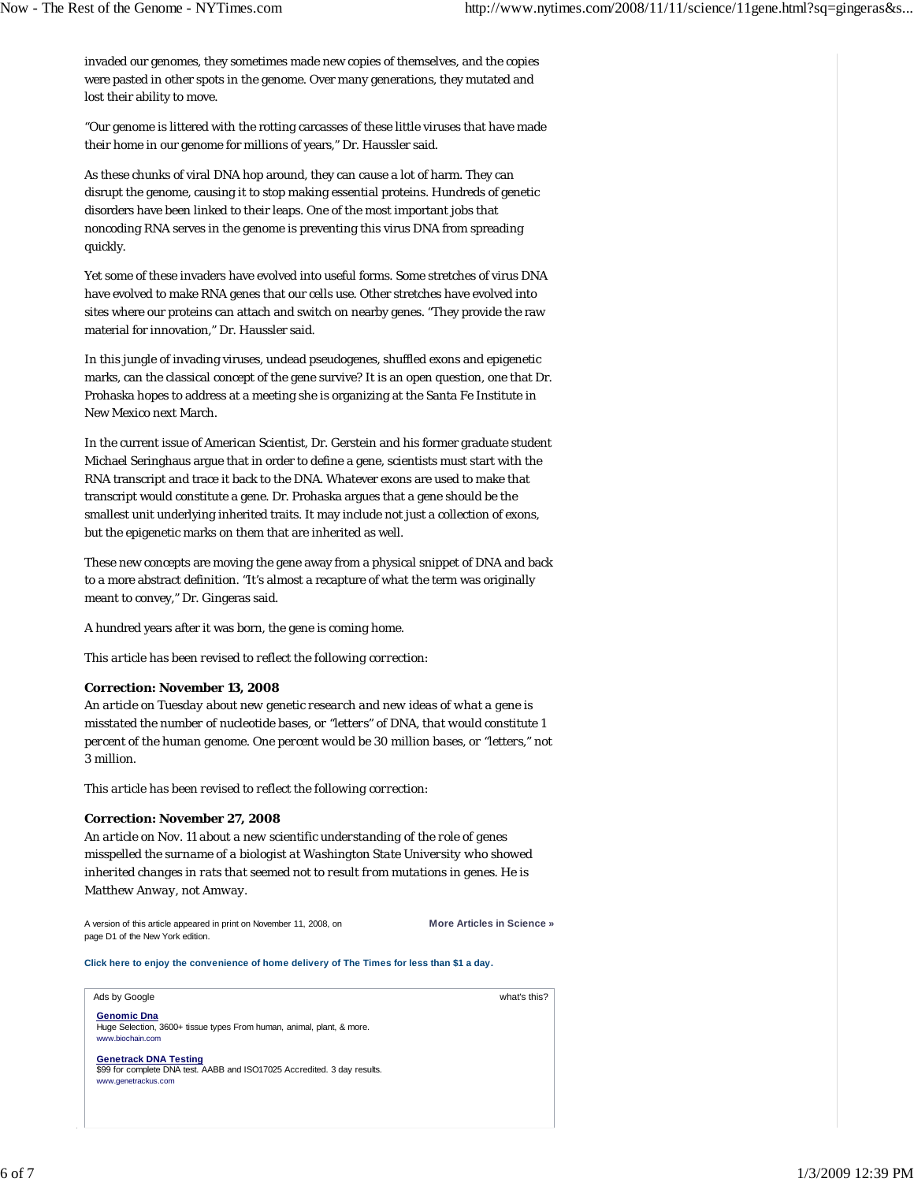invaded our genomes, they sometimes made new copies of themselves, and the copies were pasted in other spots in the genome. Over many generations, they mutated and lost their ability to move.

"Our genome is littered with the rotting carcasses of these little viruses that have made their home in our genome for millions of years," Dr. Haussler said.

As these chunks of viral DNA hop around, they can cause a lot of harm. They can disrupt the genome, causing it to stop making essential proteins. Hundreds of genetic disorders have been linked to their leaps. One of the most important jobs that noncoding RNA serves in the genome is preventing this virus DNA from spreading quickly.

Yet some of these invaders have evolved into useful forms. Some stretches of virus DNA have evolved to make RNA genes that our cells use. Other stretches have evolved into sites where our proteins can attach and switch on nearby genes. "They provide the raw material for innovation," Dr. Haussler said.

In this jungle of invading viruses, undead pseudogenes, shuffled exons and epigenetic marks, can the classical concept of the gene survive? It is an open question, one that Dr. Prohaska hopes to address at a meeting she is organizing at the Santa Fe Institute in New Mexico next March.

In the current issue of American Scientist, Dr. Gerstein and his former graduate student Michael Seringhaus argue that in order to define a gene, scientists must start with the RNA transcript and trace it back to the DNA. Whatever exons are used to make that transcript would constitute a gene. Dr. Prohaska argues that a gene should be the smallest unit underlying inherited traits. It may include not just a collection of exons, but the epigenetic marks on them that are inherited as well.

These new concepts are moving the gene away from a physical snippet of DNA and back to a more abstract definition. "It's almost a recapture of what the term was originally meant to convey," Dr. Gingeras said.

A hundred years after it was born, the gene is coming home.

*This article has been revised to reflect the following correction:*

## *Correction: November 13, 2008*

*An article on Tuesday about new genetic research and new ideas of what a gene is misstated the number of nucleotide bases, or "letters" of DNA, that would constitute 1 percent of the human genome. One percent would be 30 million bases, or "letters," not 3 million.*

*This article has been revised to reflect the following correction:*

## *Correction: November 27, 2008*

*An article on Nov. 11 about a new scientific understanding of the role of genes misspelled the surname of a biologist at Washington State University who showed inherited changes in rats that seemed not to result from mutations in genes. He is Matthew Anway, not Amway.*

A version of this article appeared in print on November 11, 2008, on **More Articles in Science »** page D1 of the New York edition.

**Click here to enjoy the convenience of home delivery of The Times for less than \$1 a day.**

Ads by Google what's this?

**Genomic Dna** Huge Selection, 3600+ tissue types From human, animal, plant, & more. www.biochain.com

**Genetrack DNA Testing** \$99 for complete DNA test. AABB and ISO17025 Accredited. 3 day results. www.genetrackus.com